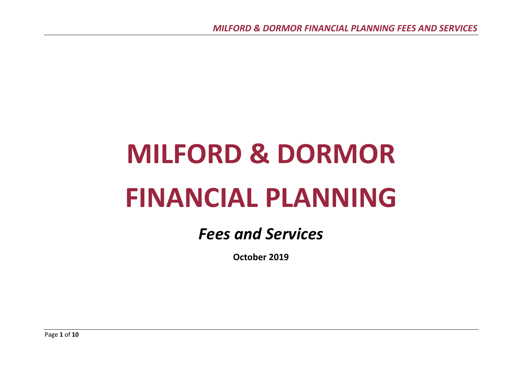# **MILFORD & DORMOR FINANCIAL PLANNING**

# *Fees and Services*

**October 2019**

Page **1** of **10**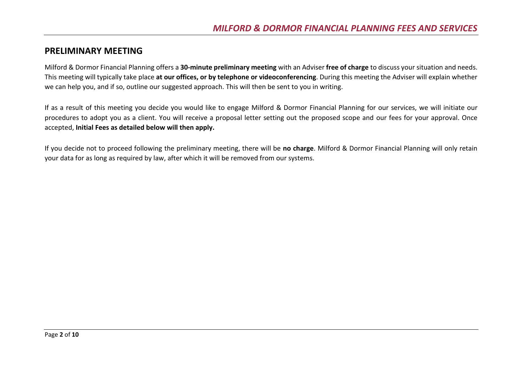#### **PRELIMINARY MEETING**

Milford & Dormor Financial Planning offers a **30-minute preliminary meeting** with an Adviser **free of charge** to discuss your situation and needs. This meeting will typically take place **at our offices, or by telephone or videoconferencing**. During this meeting the Adviser will explain whether we can help you, and if so, outline our suggested approach. This will then be sent to you in writing.

If as a result of this meeting you decide you would like to engage Milford & Dormor Financial Planning for our services, we will initiate our procedures to adopt you as a client. You will receive a proposal letter setting out the proposed scope and our fees for your approval. Once accepted, **Initial Fees as detailed below will then apply.**

If you decide not to proceed following the preliminary meeting, there will be **no charge**. Milford & Dormor Financial Planning will only retain your data for as long as required by law, after which it will be removed from our systems.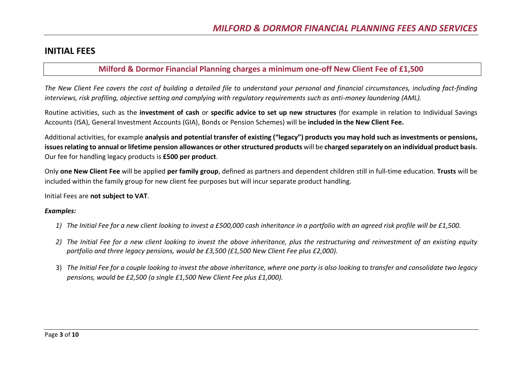#### **INITIAL FEES**

#### **Milford & Dormor Financial Planning charges a minimum one-off New Client Fee of £1,500**

*The New Client Fee covers the cost of building a detailed file to understand your personal and financial circumstances, including fact-finding interviews, risk profiling, objective setting and complying with regulatory requirements such as anti-money laundering (AML).*

Routine activities, such as the **investment of cash** or **specific advice to set up new structures** (for example in relation to Individual Savings Accounts (ISA), General Investment Accounts (GIA), Bonds or Pension Schemes) will be **included in the New Client Fee.**

Additional activities, for example **analysis and potential transfer of existing ("legacy") products you may hold such as investments or pensions, issues relating to annual or lifetime pension allowances or other structured products** will be **charged separately on an individual product basis**. Our fee for handling legacy products is **£500 per product**.

Only **one New Client Fee** will be applied **per family group**, defined as partners and dependent children still in full-time education. **Trusts** will be included within the family group for new client fee purposes but will incur separate product handling.

Initial Fees are **not subject to VAT**.

#### *Examples:*

- *1) The Initial Fee for a new client looking to invest a £500,000 cash inheritance in a portfolio with an agreed risk profile will be £1,500.*
- *2) The Initial Fee for a new client looking to invest the above inheritance, plus the restructuring and reinvestment of an existing equity portfolio and three legacy pensions, would be £3,500 (£1,500 New Client Fee plus £2,000).*
- 3) *The Initial Fee for a couple looking to invest the above inheritance, where one party is also looking to transfer and consolidate two legacy pensions, would be £2,500 (a single £1,500 New Client Fee plus £1,000).*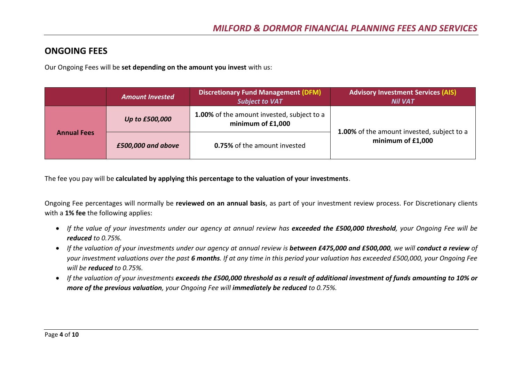#### **ONGOING FEES**

Our Ongoing Fees will be **set depending on the amount you invest** with us:

|                    | <b>Amount Invested</b> | <b>Discretionary Fund Management (DFM)</b><br><b>Subject to VAT</b> | <b>Advisory Investment Services (AIS)</b><br><b>Nil VAT</b>     |  |
|--------------------|------------------------|---------------------------------------------------------------------|-----------------------------------------------------------------|--|
| <b>Annual Fees</b> | Up to £500,000         | 1.00% of the amount invested, subject to a<br>minimum of $£1,000$   |                                                                 |  |
|                    | £500,000 and above     | <b>0.75%</b> of the amount invested                                 | 1.00% of the amount invested, subject to a<br>minimum of £1,000 |  |

The fee you pay will be **calculated by applying this percentage to the valuation of your investments**.

Ongoing Fee percentages will normally be **reviewed on an annual basis**, as part of your investment review process. For Discretionary clients with a **1% fee** the following applies:

- *If the value of your investments under our agency at annual review has exceeded the £500,000 threshold, your Ongoing Fee will be reduced to 0.75%.*
- *If the valuation of your investments under our agency at annual review is between £475,000 and £500,000, we will conduct a review of your investment valuations over the past 6 months. If at any time in this period your valuation has exceeded £500,000, your Ongoing Fee will be reduced to 0.75%.*
- *If the valuation of your investments exceeds the £500,000 threshold as a result of additional investment of funds amounting to 10% or more of the previous valuation, your Ongoing Fee will immediately be reduced to 0.75%.*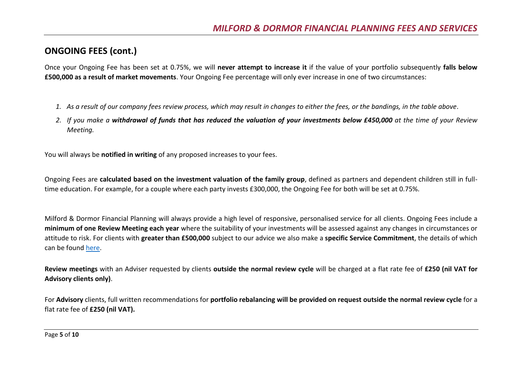# **ONGOING FEES (cont.)**

Once your Ongoing Fee has been set at 0.75%, we will **never attempt to increase it** if the value of your portfolio subsequently **falls below £500,000 as a result of market movements**. Your Ongoing Fee percentage will only ever increase in one of two circumstances:

- *1. As a result of our company fees review process, which may result in changes to either the fees, or the bandings, in the table above.*
- *2. If you make a withdrawal of funds that has reduced the valuation of your investments below £450,000 at the time of your Review Meeting.*

You will always be **notified in writing** of any proposed increases to your fees.

Ongoing Fees are **calculated based on the investment valuation of the family group**, defined as partners and dependent children still in fulltime education. For example, for a couple where each party invests £300,000, the Ongoing Fee for both will be set at 0.75%.

Milford & Dormor Financial Planning will always provide a high level of responsive, personalised service for all clients. Ongoing Fees include a **minimum of one Review Meeting each year** where the suitability of your investments will be assessed against any changes in circumstances or attitude to risk. For clients with **greater than £500,000** subject to our advice we also make a **specific Service Commitment**, the details of which can be found [here.](#page-9-0)

**Review meetings** with an Adviser requested by clients **outside the normal review cycle** will be charged at a flat rate fee of **£250 (nil VAT for Advisory clients only)**.

For **Advisory** clients, full written recommendations for **portfolio rebalancing will be provided on request outside the normal review cycle** for a flat rate fee of **£250 (nil VAT).**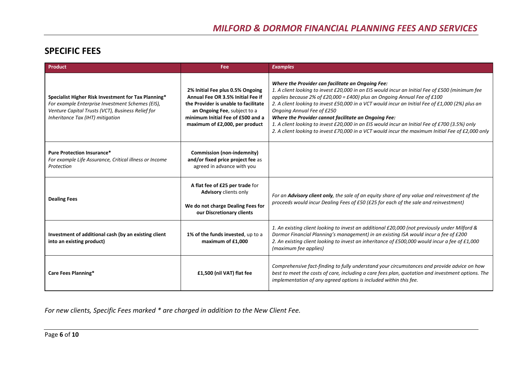# **SPECIFIC FEES**

| <b>Product</b>                                                                                                                                                                                   | Fee:                                                                                                                                                                                                                 | <b>Examples</b>                                                                                                                                                                                                                                                                                                                                                                                                                                                                                                                                                                                                                   |  |
|--------------------------------------------------------------------------------------------------------------------------------------------------------------------------------------------------|----------------------------------------------------------------------------------------------------------------------------------------------------------------------------------------------------------------------|-----------------------------------------------------------------------------------------------------------------------------------------------------------------------------------------------------------------------------------------------------------------------------------------------------------------------------------------------------------------------------------------------------------------------------------------------------------------------------------------------------------------------------------------------------------------------------------------------------------------------------------|--|
| Specialist Higher Risk Investment for Tax Planning*<br>For example Enterprise Investment Schemes (EIS),<br>Venture Capital Trusts (VCT), Business Relief for<br>Inheritance Tax (IHT) mitigation | 2% Initial Fee plus 0.5% Ongoing<br>Annual Fee OR 3.5% Initial Fee if<br>the Provider is unable to facilitate<br>an Ongoing Fee, subject to a<br>minimum Initial Fee of £500 and a<br>maximum of £2,000, per product | Where the Provider can facilitate an Ongoing Fee:<br>1. A client looking to invest £20,000 in an EIS would incur an Initial Fee of £500 (minimum fee<br>applies because 2% of £20,000 = £400) plus an Ongoing Annual Fee of £100<br>2. A client looking to invest £50,000 in a VCT would incur an Initial Fee of £1,000 (2%) plus an<br>Ongoing Annual Fee of £250<br>Where the Provider cannot facilitate an Ongoing Fee:<br>1. A client looking to invest £20,000 in an EIS would incur an Initial Fee of £700 (3.5%) only<br>2. A client looking to invest £70,000 in a VCT would incur the maximum Initial Fee of £2,000 only |  |
| <b>Pure Protection Insurance*</b><br>For example Life Assurance, Critical illness or Income<br>Protection                                                                                        | <b>Commission (non-indemnity)</b><br>and/or fixed price project fee as<br>agreed in advance with you                                                                                                                 |                                                                                                                                                                                                                                                                                                                                                                                                                                                                                                                                                                                                                                   |  |
| <b>Dealing Fees</b>                                                                                                                                                                              | A flat fee of £25 per trade for<br><b>Advisory</b> clients only<br>We do not charge Dealing Fees for<br>our Discretionary clients                                                                                    | For an Advisory client only, the sale of an equity share of any value and reinvestment of the<br>proceeds would incur Dealing Fees of £50 (£25 for each of the sale and reinvestment)                                                                                                                                                                                                                                                                                                                                                                                                                                             |  |
| Investment of additional cash (by an existing client<br>into an existing product)                                                                                                                | 1% of the funds invested, up to a<br>maximum of £1,000                                                                                                                                                               | 1. An existing client looking to invest an additional £20,000 (not previously under Milford &<br>Dormor Financial Planning's management) in an existing ISA would incur a fee of £200<br>2. An existing client looking to invest an inheritance of £500,000 would incur a fee of £1,000<br>(maximum fee applies)                                                                                                                                                                                                                                                                                                                  |  |
| Care Fees Planning*                                                                                                                                                                              | £1,500 (nil VAT) flat fee                                                                                                                                                                                            | Comprehensive fact-finding to fully understand your circumstances and provide advice on how<br>best to meet the costs of care, including a care fees plan, quotation and investment options. The<br>implementation of any agreed options is included within this fee.                                                                                                                                                                                                                                                                                                                                                             |  |

*For new clients, Specific Fees marked \* are charged in addition to the New Client Fee.*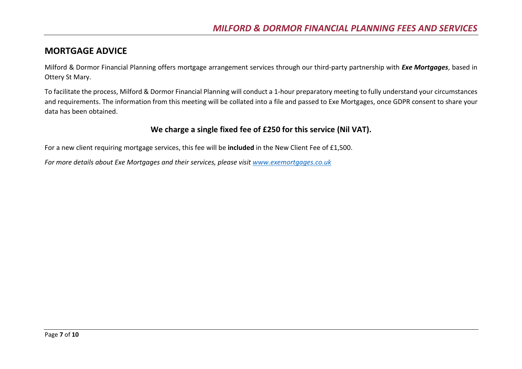#### **MORTGAGE ADVICE**

Milford & Dormor Financial Planning offers mortgage arrangement services through our third-party partnership with *Exe Mortgages*, based in Ottery St Mary.

To facilitate the process, Milford & Dormor Financial Planning will conduct a 1-hour preparatory meeting to fully understand your circumstances and requirements. The information from this meeting will be collated into a file and passed to Exe Mortgages, once GDPR consent to share your data has been obtained.

#### **We charge a single fixed fee of £250 for this service (Nil VAT).**

For a new client requiring mortgage services, this fee will be **included** in the New Client Fee of £1,500.

*For more details about Exe Mortgages and their services, please visit [www.exemortgages.co.uk](http://www.exemortgages.co.uk/)*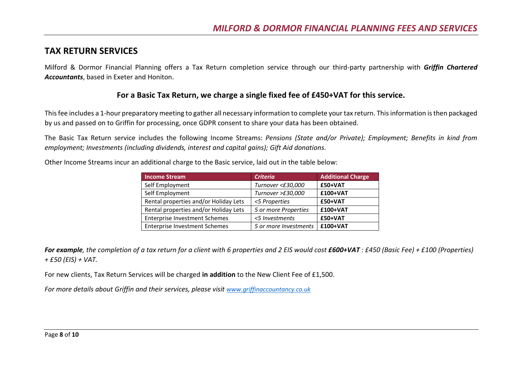#### **TAX RETURN SERVICES**

Milford & Dormor Financial Planning offers a Tax Return completion service through our third-party partnership with *Griffin Chartered Accountants*, based in Exeter and Honiton.

#### **For a Basic Tax Return, we charge a single fixed fee of £450+VAT for this service.**

This fee includes a 1-hour preparatory meeting to gather all necessary information to complete your tax return. This information is then packaged by us and passed on to Griffin for processing, once GDPR consent to share your data has been obtained.

The Basic Tax Return service includes the following Income Streams: *Pensions (State and/or Private); Employment; Benefits in kind from employment; Investments (including dividends, interest and capital gains); Gift Aid donations*.

Other Income Streams incur an additional charge to the Basic service, laid out in the table below:

| <b>Income Stream</b>                  | <b>Criteria</b>       | <b>Additional Charge</b> |
|---------------------------------------|-----------------------|--------------------------|
| Self Employment                       | Turnover <£30,000     | £50+VAT                  |
| Self Employment                       | Turnover >£30,000     | £100+VAT                 |
| Rental properties and/or Holiday Lets | <5 Properties         | £50+VAT                  |
| Rental properties and/or Holiday Lets | 5 or more Properties  | £100+VAT                 |
| <b>Enterprise Investment Schemes</b>  | <5 Investments        | £50+VAT                  |
| <b>Enterprise Investment Schemes</b>  | 5 or more Investments | £100+VAT                 |

*For example, the completion of a tax return for a client with 6 properties and 2 EIS would cost £600+VAT : £450 (Basic Fee) + £100 (Properties) + £50 (EIS) + VAT.*

For new clients, Tax Return Services will be charged **in addition** to the New Client Fee of £1,500.

*For more details about Griffin and their services, please visit [www.griffinaccountancy.co.uk](http://www.griffinaccountancy.co.uk/)*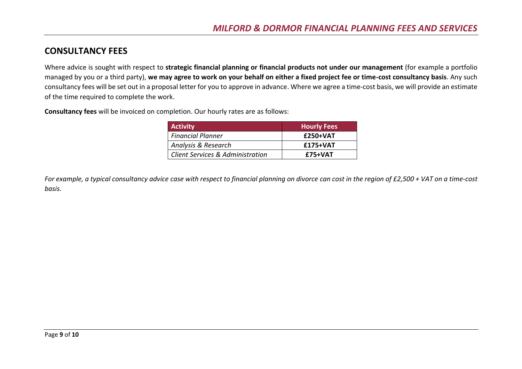## **CONSULTANCY FEES**

Where advice is sought with respect to **strategic financial planning or financial products not under our management** (for example a portfolio managed by you or a third party), **we may agree to work on your behalf on either a fixed project fee or time-cost consultancy basis**. Any such consultancy fees will be set out in a proposal letter for you to approve in advance. Where we agree a time-cost basis, we will provide an estimate of the time required to complete the work.

**Consultancy fees** will be invoiced on completion. Our hourly rates are as follows:

| <b>Activity</b>                  | <b>Hourly Fees</b> |
|----------------------------------|--------------------|
| <b>Financial Planner</b>         | £250+VAT           |
| Analysis & Research              | £175+VAT           |
| Client Services & Administration | £75+VAT            |

*For example, a typical consultancy advice case with respect to financial planning on divorce can cost in the region of £2,500 + VAT on a time-cost basis.*